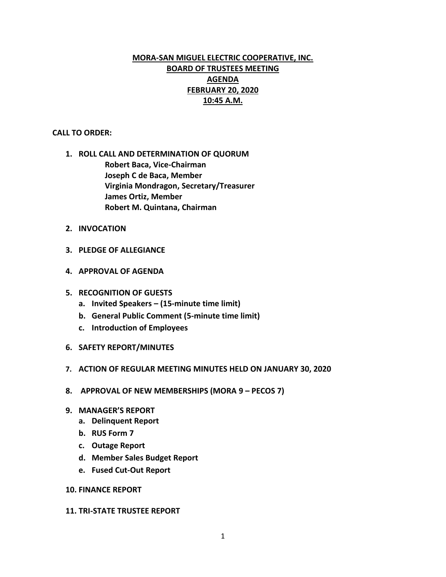# **MORA-SAN MIGUEL ELECTRIC COOPERATIVE, INC. BOARD OF TRUSTEES MEETING AGENDA FEBRUARY 20, 2020 10:45 A.M.**

### **CALL TO ORDER:**

- **1. ROLL CALL AND DETERMINATION OF QUORUM Robert Baca, Vice-Chairman Joseph C de Baca, Member Virginia Mondragon, Secretary/Treasurer James Ortiz, Member Robert M. Quintana, Chairman**
- **2. INVOCATION**
- **3. PLEDGE OF ALLEGIANCE**
- **4. APPROVAL OF AGENDA**
- **5. RECOGNITION OF GUESTS**
	- **a. Invited Speakers – (15-minute time limit)**
	- **b. General Public Comment (5-minute time limit)**
	- **c. Introduction of Employees**
- **6. SAFETY REPORT/MINUTES**
- **7. ACTION OF REGULAR MEETING MINUTES HELD ON JANUARY 30, 2020**
- **8. APPROVAL OF NEW MEMBERSHIPS (MORA 9 – PECOS 7)**
- **9. MANAGER'S REPORT**
	- **a. Delinquent Report**
	- **b. RUS Form 7**
	- **c. Outage Report**
	- **d. Member Sales Budget Report**
	- **e. Fused Cut-Out Report**

### **10. FINANCE REPORT**

#### **11. TRI-STATE TRUSTEE REPORT**